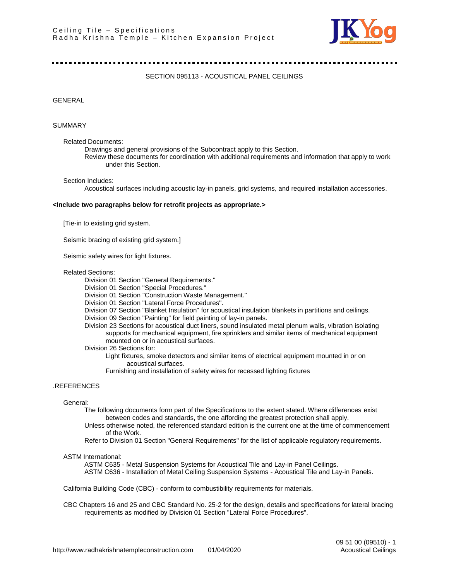

...................................

SECTION 095113 - ACOUSTICAL PANEL CEILINGS

GENERAL

#### SUMMARY

Related Documents:

Drawings and general provisions of the Subcontract apply to this Section.

Review these documents for coordination with additional requirements and information that apply to work under this Section.

Section Includes:

Acoustical surfaces including acoustic lay-in panels, grid systems, and required installation accessories.

#### **<Include two paragraphs below for retrofit projects as appropriate.>**

[Tie-in to existing grid system.

Seismic bracing of existing grid system.]

Seismic safety wires for light fixtures.

#### Related Sections:

Division 01 Section "General Requirements."

Division 01 Section "Special Procedures."

- Division 01 Section "Construction Waste Management."
- Division 01 Section "Lateral Force Procedures".
- Division 07 Section "Blanket Insulation" for acoustical insulation blankets in partitions and ceilings.
- Division 09 Section "Painting" for field painting of lay-in panels.
- Division 23 Sections for acoustical duct liners, sound insulated metal plenum walls, vibration isolating supports for mechanical equipment, fire sprinklers and similar items of mechanical equipment mounted on or in acoustical surfaces.

Division 26 Sections for:

Light fixtures, smoke detectors and similar items of electrical equipment mounted in or on acoustical surfaces.

Furnishing and installation of safety wires for recessed lighting fixtures

## .REFERENCES

#### General:

The following documents form part of the Specifications to the extent stated. Where differences exist between codes and standards, the one affording the greatest protection shall apply.

- Unless otherwise noted, the referenced standard edition is the current one at the time of commencement of the Work.
- Refer to Division 01 Section "General Requirements" for the list of applicable regulatory requirements.

### ASTM International:

ASTM C635 - Metal Suspension Systems for Acoustical Tile and Lay-in Panel Ceilings. ASTM C636 - Installation of Metal Ceiling Suspension Systems - Acoustical Tile and Lay-in Panels.

California Building Code (CBC) - conform to combustibility requirements for materials.

CBC Chapters 16 and 25 and CBC Standard No. 25-2 for the design, details and specifications for lateral bracing requirements as modified by Division 01 Section "Lateral Force Procedures".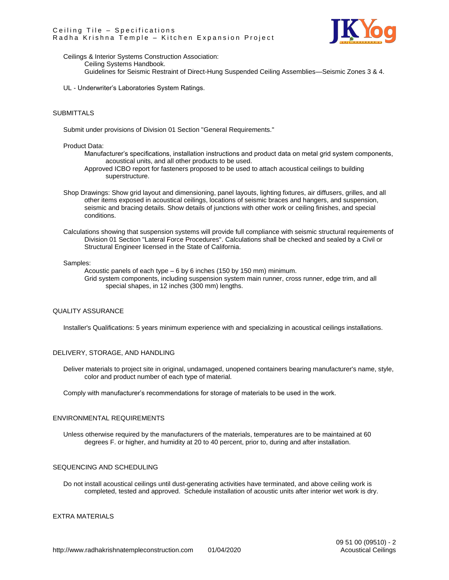

Ceilings & Interior Systems Construction Association: Ceiling Systems Handbook. Guidelines for Seismic Restraint of Direct-Hung Suspended Ceiling Assemblies—Seismic Zones 3 & 4.

UL - Underwriter's Laboratories System Ratings.

## SUBMITTALS

Submit under provisions of Division 01 Section "General Requirements."

### Product Data:

Manufacturer's specifications, installation instructions and product data on metal grid system components, acoustical units, and all other products to be used.

Approved ICBO report for fasteners proposed to be used to attach acoustical ceilings to building superstructure.

- Shop Drawings: Show grid layout and dimensioning, panel layouts, lighting fixtures, air diffusers, grilles, and all other items exposed in acoustical ceilings, locations of seismic braces and hangers, and suspension, seismic and bracing details. Show details of junctions with other work or ceiling finishes, and special conditions.
- Calculations showing that suspension systems will provide full compliance with seismic structural requirements of Division 01 Section "Lateral Force Procedures". Calculations shall be checked and sealed by a Civil or Structural Engineer licensed in the State of California.

#### Samples:

Acoustic panels of each type – 6 by 6 inches (150 by 150 mm) minimum. Grid system components, including suspension system main runner, cross runner, edge trim, and all special shapes, in 12 inches (300 mm) lengths.

#### QUALITY ASSURANCE

Installer's Qualifications: 5 years minimum experience with and specializing in acoustical ceilings installations.

## DELIVERY, STORAGE, AND HANDLING

Deliver materials to project site in original, undamaged, unopened containers bearing manufacturer's name, style, color and product number of each type of material.

Comply with manufacturer's recommendations for storage of materials to be used in the work.

### ENVIRONMENTAL REQUIREMENTS

Unless otherwise required by the manufacturers of the materials, temperatures are to be maintained at 60 degrees F. or higher, and humidity at 20 to 40 percent, prior to, during and after installation.

# SEQUENCING AND SCHEDULING

Do not install acoustical ceilings until dust-generating activities have terminated, and above ceiling work is completed, tested and approved. Schedule installation of acoustic units after interior wet work is dry.

### EXTRA MATERIALS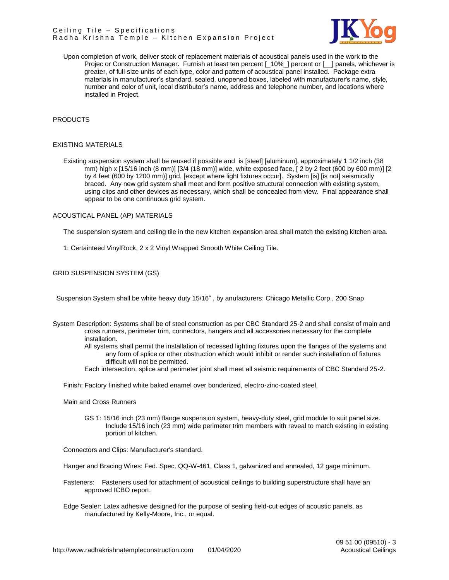

Upon completion of work, deliver stock of replacement materials of acoustical panels used in the work to the Proiec or Construction Manager. Furnish at least ten percent [\_10%\_] percent or [\_\_] panels, whichever is greater, of full-size units of each type, color and pattern of acoustical panel installed. Package extra materials in manufacturer's standard, sealed, unopened boxes, labeled with manufacturer's name, style, number and color of unit, local distributor's name, address and telephone number, and locations where installed in Project.

## PRODUCTS

## EXISTING MATERIALS

Existing suspension system shall be reused if possible and is [steel] [aluminum], approximately 1 1/2 inch (38 mm) high x [15/16 inch (8 mm)] [3/4 (18 mm)] wide, white exposed face, [ 2 by 2 feet (600 by 600 mm)] [2 by 4 feet (600 by 1200 mm)] grid, [except where light fixtures occur]. System [is] [is not] seismically braced. Any new grid system shall meet and form positive structural connection with existing system, using clips and other devices as necessary, which shall be concealed from view. Final appearance shall appear to be one continuous grid system.

### ACOUSTICAL PANEL (AP) MATERIALS

The suspension system and ceiling tile in the new kitchen expansion area shall match the existing kitchen area.

1: Certainteed VinylRock, 2 x 2 Vinyl Wrapped Smooth White Ceiling Tile.

GRID SUSPENSION SYSTEM (GS)

Suspension System shall be white heavy duty 15/16" , by anufacturers: Chicago Metallic Corp., 200 Snap

- System Description: Systems shall be of steel construction as per CBC Standard 25-2 and shall consist of main and cross runners, perimeter trim, connectors, hangers and all accessories necessary for the complete installation.
	- All systems shall permit the installation of recessed lighting fixtures upon the flanges of the systems and any form of splice or other obstruction which would inhibit or render such installation of fixtures difficult will not be permitted.
	- Each intersection, splice and perimeter joint shall meet all seismic requirements of CBC Standard 25-2.

Finish: Factory finished white baked enamel over bonderized, electro-zinc-coated steel.

Main and Cross Runners

GS 1: 15/16 inch (23 mm) flange suspension system, heavy-duty steel, grid module to suit panel size. Include 15/16 inch (23 mm) wide perimeter trim members with reveal to match existing in existing portion of kitchen.

Connectors and Clips: Manufacturer's standard.

Hanger and Bracing Wires: Fed. Spec. QQ-W-461, Class 1, galvanized and annealed, 12 gage minimum.

- Fasteners: Fasteners used for attachment of acoustical ceilings to building superstructure shall have an approved ICBO report.
- Edge Sealer: Latex adhesive designed for the purpose of sealing field-cut edges of acoustic panels, as manufactured by Kelly-Moore, Inc., or equal.